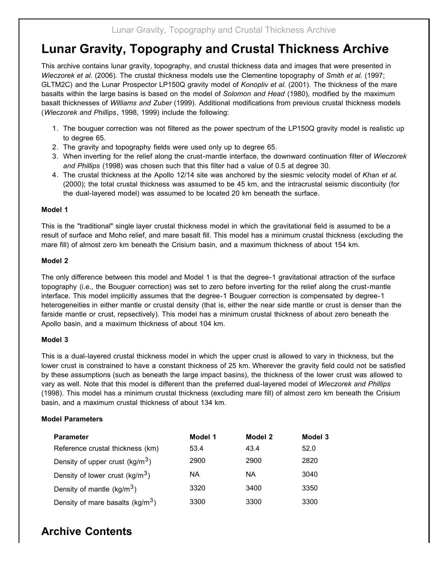# **Lunar Gravity, Topography and Crustal Thickness Archive**

This archive contains lunar gravity, topography, and crustal thickness data and images that were presented in *Wieczorek et al.* (2006). The crustal thickness models use the Clementine topography of *Smith et al.* (1997; GLTM2C) and the Lunar Prospector LP150Q gravity model of *Konopliv et al.* (2001). The thickness of the mare basalts within the large basins is based on the model of *Solomon and Head* (1980), modified by the maximum basalt thicknesses of *Williams and Zuber* (1999). Additional modifications from previous crustal thickness models (*Wieczorek and Phillips*, 1998, 1999) include the following:

- 1. The bouguer correction was not filtered as the power spectrum of the LP150Q gravity model is realistic up to degree 65.
- 2. The gravity and topography fields were used only up to degree 65.
- 3. When inverting for the relief along the crust-mantle interface, the downward continuation filter of *Wieczorek and Phillips* (1998) was chosen such that this filter had a value of 0.5 at degree 30.
- 4. The crustal thickness at the Apollo 12/14 site was anchored by the siesmic velocity model of *Khan et al.* (2000); the total crustal thickness was assumed to be 45 km, and the intracrustal seismic discontiuity (for the dual-layered model) was assumed to be located 20 km beneath the surface.

#### **Model 1**

This is the "traditional" single layer crustal thickness model in which the gravitational field is assumed to be a result of surface and Moho relief, and mare basalt fill. This model has a minimum crustal thickness (excluding the mare fill) of almost zero km beneath the Crisium basin, and a maximum thickness of about 154 km.

#### **Model 2**

The only difference between this model and Model 1 is that the degree-1 gravitational attraction of the surface topography (i.e., the Bouguer correction) was set to zero before inverting for the relief along the crust-mantle interface. This model implicitly assumes that the degree-1 Bouguer correction is compensated by degree-1 heterogeneities in either mantle or crustal density (that is, either the near side mantle or crust is denser than the farside mantle or crust, repsectively). This model has a minimum crustal thickness of about zero beneath the Apollo basin, and a maximum thickness of about 104 km.

#### **Model 3**

This is a dual-layered crustal thickness model in which the upper crust is allowed to vary in thickness, but the lower crust is constrained to have a constant thickness of 25 km. Wherever the gravity field could not be satisfied by these assumptions (such as beneath the large impact basins), the thickness of the lower crust was allowed to vary as well. Note that this model is different than the preferred dual-layered model of *Wieczorek and Phillips* (1998). This model has a minimum crustal thickness (excluding mare fill) of almost zero km beneath the Crisium basin, and a maximum crustal thickness of about 134 km.

#### **Model Parameters**

| <b>Parameter</b>                    | Model 1 | Model 2 | Model 3 |
|-------------------------------------|---------|---------|---------|
| Reference crustal thickness (km)    | 53.4    | 43.4    | 52.0    |
| Density of upper crust ( $kg/m3$ )  | 2900    | 2900    | 2820    |
| Density of lower crust $(kg/m3)$    | NА      | ΝA      | 3040    |
| Density of mantle $(kg/m3)$         | 3320    | 3400    | 3350    |
| Density of mare basalts ( $kg/m3$ ) | 3300    | 3300    | 3300    |

## **Archive Contents**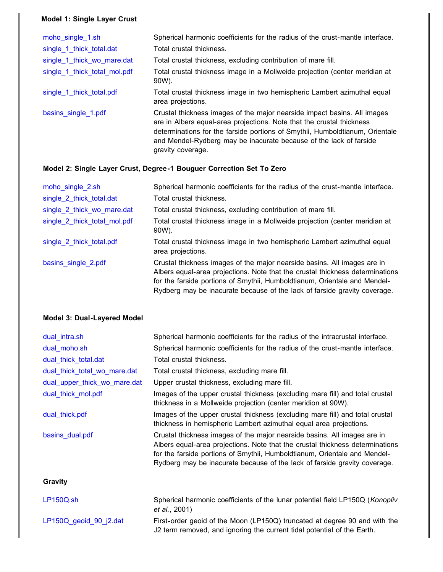#### **Model 1: Single Layer Crust**

| moho single 1.sh             | Spherical harmonic coefficients for the radius of the crust-mantle interface.                                                                                                                                                                                                                                                |
|------------------------------|------------------------------------------------------------------------------------------------------------------------------------------------------------------------------------------------------------------------------------------------------------------------------------------------------------------------------|
| single 1 thick total.dat     | Total crustal thickness.                                                                                                                                                                                                                                                                                                     |
| single_1_thick_wo_mare.dat   | Total crustal thickness, excluding contribution of mare fill.                                                                                                                                                                                                                                                                |
| single 1 thick total mol.pdf | Total crustal thickness image in a Mollweide projection (center meridian at<br>90W).                                                                                                                                                                                                                                         |
| single_1_thick_total.pdf     | Total crustal thickness image in two hemispheric Lambert azimuthal equal<br>area projections.                                                                                                                                                                                                                                |
| basins_single_1.pdf          | Crustal thickness images of the major nearside impact basins. All images<br>are in Albers equal-area projections. Note that the crustal thickness<br>determinations for the farside portions of Smythii, Humboldtianum, Orientale<br>and Mendel-Rydberg may be inacurate because of the lack of farside<br>gravity coverage. |

#### **Model 2: Single Layer Crust, Degree-1 Bouguer Correction Set To Zero**

| moho_single_2.sh             | Spherical harmonic coefficients for the radius of the crust-mantle interface.                                                                                                                                                                                                                                       |
|------------------------------|---------------------------------------------------------------------------------------------------------------------------------------------------------------------------------------------------------------------------------------------------------------------------------------------------------------------|
| single 2 thick total.dat     | Total crustal thickness.                                                                                                                                                                                                                                                                                            |
| single 2 thick wo mare.dat   | Total crustal thickness, excluding contribution of mare fill.                                                                                                                                                                                                                                                       |
| single 2 thick total mol.pdf | Total crustal thickness image in a Mollweide projection (center meridian at<br>90W).                                                                                                                                                                                                                                |
| single 2 thick total.pdf     | Total crustal thickness image in two hemispheric Lambert azimuthal equal<br>area projections.                                                                                                                                                                                                                       |
| basins single 2.pdf          | Crustal thickness images of the major nearside basins. All images are in<br>Albers equal-area projections. Note that the crustal thickness determinations<br>for the farside portions of Smythii, Humboldtianum, Orientale and Mendel-<br>Rydberg may be inacurate because of the lack of farside gravity coverage. |

#### **Model 3: Dual-Layered Model**

| dual intra.sh                | Spherical harmonic coefficients for the radius of the intracrustal interface.                                                                                                                                                                                                                                       |
|------------------------------|---------------------------------------------------------------------------------------------------------------------------------------------------------------------------------------------------------------------------------------------------------------------------------------------------------------------|
| dual moho.sh                 | Spherical harmonic coefficients for the radius of the crust-mantle interface.                                                                                                                                                                                                                                       |
| dual_thick_total.dat         | Total crustal thickness.                                                                                                                                                                                                                                                                                            |
| dual_thick_total_wo_mare.dat | Total crustal thickness, excluding mare fill.                                                                                                                                                                                                                                                                       |
| dual_upper_thick_wo_mare.dat | Upper crustal thickness, excluding mare fill.                                                                                                                                                                                                                                                                       |
| dual_thick_mol.pdf           | Images of the upper crustal thickness (excluding mare fill) and total crustal<br>thickness in a Mollweide projection (center meridion at 90W).                                                                                                                                                                      |
| dual thick.pdf               | Images of the upper crustal thickness (excluding mare fill) and total crustal<br>thickness in hemispheric Lambert azimuthal equal area projections.                                                                                                                                                                 |
| basins_dual.pdf              | Crustal thickness images of the major nearside basins. All images are in<br>Albers equal-area projections. Note that the crustal thickness determinations<br>for the farside portions of Smythii, Humboldtianum, Orientale and Mendel-<br>Rydberg may be inacurate because of the lack of farside gravity coverage. |
| Gravity                      |                                                                                                                                                                                                                                                                                                                     |
| LP150Q.sh                    | Spherical harmonic coefficients of the lunar potential field LP150Q (Konopliv<br>et al., 2001)                                                                                                                                                                                                                      |
| LP150Q geoid 90 j2.dat       | First-order geoid of the Moon (LP150Q) truncated at degree 90 and with the<br>J2 term removed, and ignoring the current tidal potential of the Earth.                                                                                                                                                               |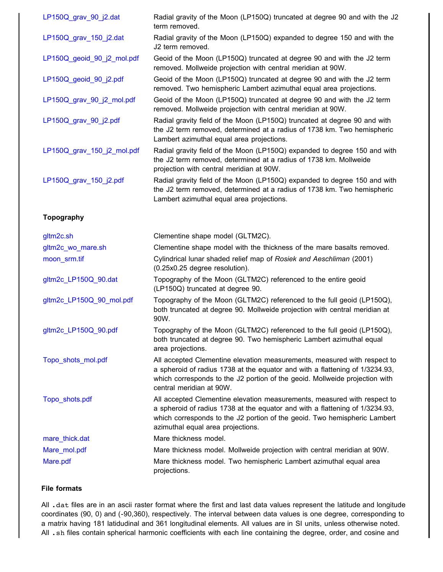| LP150Q_grav_90_j2.dat      | Radial gravity of the Moon (LP150Q) truncated at degree 90 and with the J2<br>term removed.                                                                                                                                                                                |
|----------------------------|----------------------------------------------------------------------------------------------------------------------------------------------------------------------------------------------------------------------------------------------------------------------------|
| LP150Q_grav_150_j2.dat     | Radial gravity of the Moon (LP150Q) expanded to degree 150 and with the<br>J2 term removed.                                                                                                                                                                                |
| LP150Q_geoid_90_j2_mol.pdf | Geoid of the Moon (LP150Q) truncated at degree 90 and with the J2 term<br>removed. Mollweide projection with central meridian at 90W.                                                                                                                                      |
| LP150Q_geoid_90_j2.pdf     | Geoid of the Moon (LP150Q) truncated at degree 90 and with the J2 term<br>removed. Two hemispheric Lambert azimuthal equal area projections.                                                                                                                               |
| LP150Q_grav_90_j2_mol.pdf  | Geoid of the Moon (LP150Q) truncated at degree 90 and with the J2 term<br>removed. Mollweide projection with central meridian at 90W.                                                                                                                                      |
| LP150Q_grav_90_j2.pdf      | Radial gravity field of the Moon (LP150Q) truncated at degree 90 and with<br>the J2 term removed, determined at a radius of 1738 km. Two hemispheric<br>Lambert azimuthal equal area projections.                                                                          |
| LP150Q_grav_150_j2_mol.pdf | Radial gravity field of the Moon (LP150Q) expanded to degree 150 and with<br>the J2 term removed, determined at a radius of 1738 km. Mollweide<br>projection with central meridian at 90W.                                                                                 |
| LP150Q_grav_150_j2.pdf     | Radial gravity field of the Moon (LP150Q) expanded to degree 150 and with<br>the J2 term removed, determined at a radius of 1738 km. Two hemispheric<br>Lambert azimuthal equal area projections.                                                                          |
| <b>Topography</b>          |                                                                                                                                                                                                                                                                            |
| gltm2c.sh                  | Clementine shape model (GLTM2C).                                                                                                                                                                                                                                           |
| gltm2c_wo_mare.sh          | Clementine shape model with the thickness of the mare basalts removed.                                                                                                                                                                                                     |
| moon_srm.tif               | Cylindrical lunar shaded relief map of Rosiek and Aeschliman (2001)<br>(0.25x0.25 degree resolution).                                                                                                                                                                      |
| gltm2c_LP150Q_90.dat       | Topography of the Moon (GLTM2C) referenced to the entire geoid<br>(LP150Q) truncated at degree 90.                                                                                                                                                                         |
| gltm2c LP150Q 90 mol.pdf   | Topography of the Moon (GLTM2C) referenced to the full geoid (LP150Q),<br>both truncated at degree 90. Mollweide projection with central meridian at<br>90W.                                                                                                               |
| gltm2c_LP150Q_90.pdf       | Topography of the Moon (GLTM2C) referenced to the full geoid (LP150Q),<br>both truncated at degree 90. Two hemispheric Lambert azimuthal equal<br>area projections.                                                                                                        |
| Topo shots mol.pdf         | All accepted Clementine elevation measurements, measured with respect to<br>a spheroid of radius 1738 at the equator and with a flattening of 1/3234.93,<br>which corresponds to the J2 portion of the geoid. Mollweide projection with<br>central meridian at 90W.        |
| Topo_shots.pdf             | All accepted Clementine elevation measurements, measured with respect to<br>a spheroid of radius 1738 at the equator and with a flattening of 1/3234.93,<br>which corresponds to the J2 portion of the geoid. Two hemispheric Lambert<br>azimuthal equal area projections. |
| mare_thick.dat             | Mare thickness model.                                                                                                                                                                                                                                                      |
| Mare_mol.pdf               | Mare thickness model. Mollweide projection with central meridian at 90W.                                                                                                                                                                                                   |
| Mare.pdf                   | Mare thickness model. Two hemispheric Lambert azimuthal equal area                                                                                                                                                                                                         |

#### **File formats**

All .dat files are in an ascii raster format where the first and last data values represent the latitude and longitude coordinates (90, 0) and (-90,360), respectively. The interval between data values is one degree, corresponding to a matrix having 181 latidudinal and 361 longitudinal elements. All values are in SI units, unless otherwise noted. All .sh files contain spherical harmonic coefficients with each line containing the degree, order, and cosine and